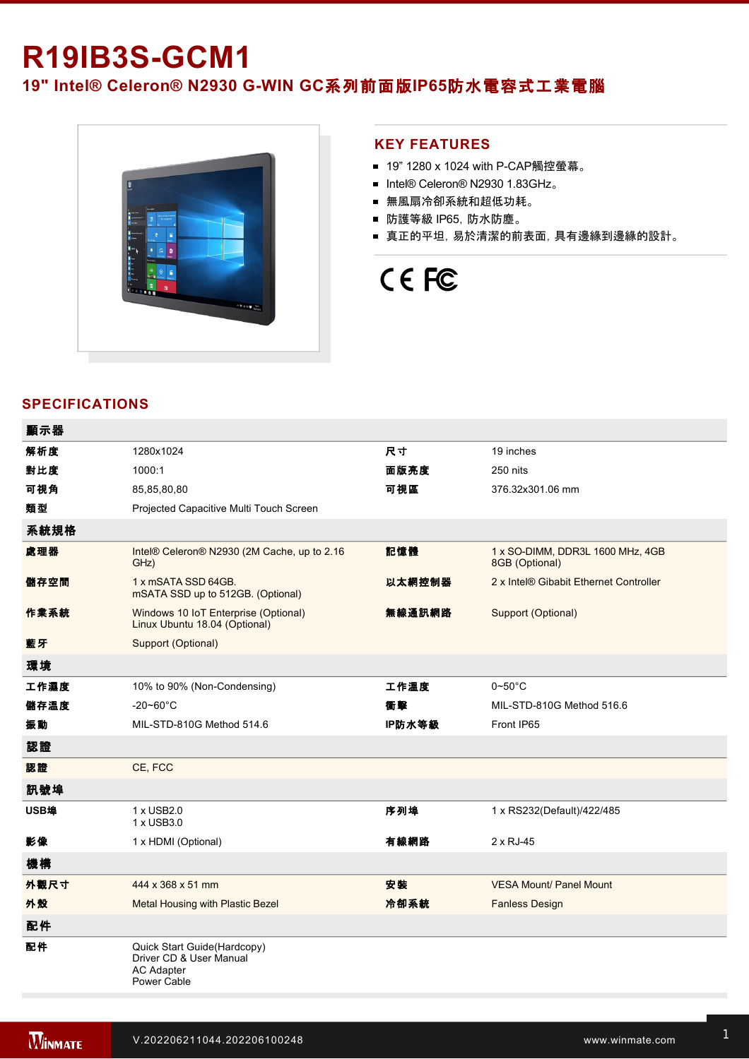# **R19IB3S-GCM1**

19" Intel® Celeron® N2930 G-WIN GC系列前面版IP65防水電容式工業電腦



### **KEY FEATURES**

- 19" 1280 x 1024 with P-CAP觸控螢幕。
- Intel® Celeron® N2930 1.83GHz。
- 無風扇冷卻系統和超低功耗。
- 防護等級 IP65,防水防塵。
- 真正的平坦, 易於清潔的前表面, 具有邊緣到邊緣的設計。

# CE FC

## **SPECIFICATIONS**

| 顯示器  |                                                                                            |        |                                                    |
|------|--------------------------------------------------------------------------------------------|--------|----------------------------------------------------|
| 解析度  | 1280x1024                                                                                  | 尺寸     | 19 inches                                          |
| 對比度  | 1000:1                                                                                     | 面版亮度   | 250 nits                                           |
| 可視角  | 85,85,80,80                                                                                | 可視區    | 376.32x301.06 mm                                   |
| 類型   | Projected Capacitive Multi Touch Screen                                                    |        |                                                    |
| 系統規格 |                                                                                            |        |                                                    |
| 處理器  | Intel® Celeron® N2930 (2M Cache, up to 2.16<br>GHz)                                        | 記憶體    | 1 x SO-DIMM, DDR3L 1600 MHz, 4GB<br>8GB (Optional) |
| 儲存空間 | 1 x mSATA SSD 64GB.<br>mSATA SSD up to 512GB. (Optional)                                   | 以太網控制器 | 2 x Intel® Gibabit Ethernet Controller             |
| 作業系統 | Windows 10 IoT Enterprise (Optional)<br>Linux Ubuntu 18.04 (Optional)                      | 無線通訊網路 | Support (Optional)                                 |
| 藍牙   | Support (Optional)                                                                         |        |                                                    |
| 環境   |                                                                                            |        |                                                    |
| 工作濕度 | 10% to 90% (Non-Condensing)                                                                | 工作溫度   | $0\nightharpoonup 50^\circ C$                      |
| 儲存溫度 | $-20 - 60^{\circ}$ C                                                                       | 衝擊     | MIL-STD-810G Method 516.6                          |
| 振動   | MIL-STD-810G Method 514.6                                                                  | IP防水等級 | Front IP65                                         |
| 認證   |                                                                                            |        |                                                    |
| 認證   | CE, FCC                                                                                    |        |                                                    |
| 訊號埠  |                                                                                            |        |                                                    |
| USB埠 | 1 x USB2.0<br>1 x USB3.0                                                                   | 序列埠    | 1 x RS232(Default)/422/485                         |
| 影像   | 1 x HDMI (Optional)                                                                        | 有線網路   | 2 x RJ-45                                          |
| 機構   |                                                                                            |        |                                                    |
| 外觀尺寸 | 444 x 368 x 51 mm                                                                          | 安装     | <b>VESA Mount/ Panel Mount</b>                     |
| 外殼   | Metal Housing with Plastic Bezel                                                           | 冷卻系統   | <b>Fanless Design</b>                              |
| 配件   |                                                                                            |        |                                                    |
| 配件   | Quick Start Guide(Hardcopy)<br>Driver CD & User Manual<br><b>AC Adapter</b><br>Power Cable |        |                                                    |
|      |                                                                                            |        |                                                    |

電源

**在**